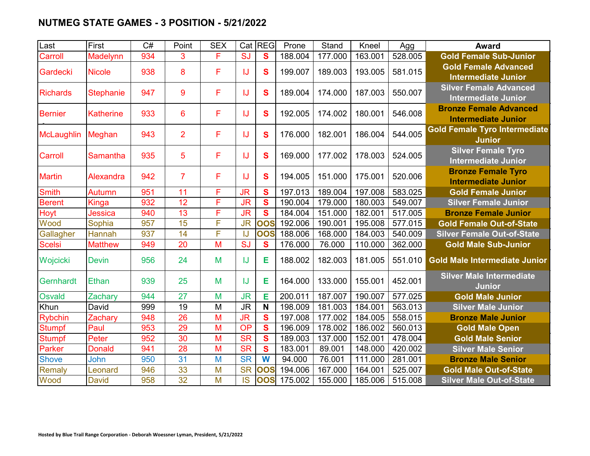## **NUTMEG STATE GAMES - 3 POSITION - 5/21/2022**

| Last              | First            | C#  | Point           | <b>SEX</b> |           | Cat REG      | Prone   | Stand   | Kneel   | Agg     | <b>Award</b>                                                |
|-------------------|------------------|-----|-----------------|------------|-----------|--------------|---------|---------|---------|---------|-------------------------------------------------------------|
| Carroll           | Madelynn         | 934 | 3               | F          | SJ        | $\mathbf{s}$ | 188.004 | 177.000 | 163.001 | 528.005 | <b>Gold Female Sub-Junior</b>                               |
| Gardecki          | <b>Nicole</b>    | 938 | 8               | F          | IJ        | $\mathbf{s}$ | 199.007 | 189.003 | 193.005 | 581.015 | <b>Gold Female Advanced</b><br><b>Intermediate Junior</b>   |
| <b>Richards</b>   | <b>Stephanie</b> | 947 | 9               | F          | IJ        | S            | 189.004 | 174.000 | 187.003 | 550.007 | <b>Silver Female Advanced</b><br><b>Intermediate Junior</b> |
| <b>Bernier</b>    | <b>Katherine</b> | 933 | $6\phantom{1}6$ | F          | IJ        | S            | 192.005 | 174.002 | 180.001 | 546.008 | <b>Bronze Female Advanced</b><br><b>Intermediate Junior</b> |
| <b>McLaughlin</b> | Meghan           | 943 | $\overline{2}$  | F          | IJ        | S            | 176.000 | 182.001 | 186.004 | 544.005 | <b>Gold Female Tyro Intermediate</b><br><b>Junior</b>       |
| Carroll           | Samantha         | 935 | 5               | F          | IJ        | S            | 169.000 | 177.002 | 178.003 | 524.005 | <b>Silver Female Tyro</b><br><b>Intermediate Junior</b>     |
| <b>Martin</b>     | Alexandra        | 942 | $\overline{7}$  | F          | IJ        | S            | 194.005 | 151.000 | 175.001 | 520.006 | <b>Bronze Female Tyro</b><br><b>Intermediate Junior</b>     |
| <b>Smith</b>      | Autumn           | 951 | 11              | F          | <b>JR</b> | S            | 197.013 | 189.004 | 197.008 | 583.025 | <b>Gold Female Junior</b>                                   |
| <b>Berent</b>     | <b>Kinga</b>     | 932 | $\overline{12}$ | F          | <b>JR</b> | S            | 190.004 | 179.000 | 180.003 | 549.007 | <b>Silver Female Junior</b>                                 |
| Hoyt              | Jessica          | 940 | 13              | F          | <b>JR</b> | S            | 184.004 | 151.000 | 182.001 | 517.005 | <b>Bronze Female Junior</b>                                 |
| Wood              | Sophia           | 957 | 15              | F          | <b>JR</b> | <b>OOS</b>   | 192.006 | 190.001 | 195.008 | 577.015 | <b>Gold Female Out-of-State</b>                             |
| Gallagher         | Hannah           | 937 | 14              | F          | IJ        | <b>OOS</b>   | 188.006 | 168.000 | 184.003 | 540.009 | <b>Silver Female Out-of-State</b>                           |
| <b>Scelsi</b>     | <b>Matthew</b>   | 949 | 20              | M          | SJ        | $\mathbf{s}$ | 176.000 | 76.000  | 110.000 | 362.000 | <b>Gold Male Sub-Junior</b>                                 |
| Wojcicki          | <b>Devin</b>     | 956 | 24              | M          | IJ        | Е            | 188.002 | 182.003 | 181.005 | 551.010 | <b>Gold Male Intermediate Junior</b>                        |
| Gernhardt         | Ethan            | 939 | 25              | M          | IJ        | Е            | 164.000 | 133.000 | 155.001 | 452.001 | <b>Silver Male Intermediate</b><br><b>Junior</b>            |
| <b>Osvald</b>     | Zachary          | 944 | 27              | M          | <b>JR</b> | Е            | 200.011 | 187.007 | 190.007 | 577.025 | <b>Gold Male Junior</b>                                     |
| Khun              | David            | 999 | 19              | M          | <b>JR</b> | N            | 198.009 | 181.003 | 184.001 | 563.013 | <b>Silver Male Junior</b>                                   |
| <b>Rybchin</b>    | Zachary          | 948 | $\overline{26}$ | M          | <b>JR</b> | S            | 197.008 | 177.002 | 184.005 | 558.015 | <b>Bronze Male Junior</b>                                   |
| <b>Stumpf</b>     | Paul             | 953 | 29              | M          | <b>OP</b> | S            | 196.009 | 178.002 | 186.002 | 560.013 | <b>Gold Male Open</b>                                       |
| <b>Stumpf</b>     | Peter            | 952 | 30              | M          | <b>SR</b> | $\mathbf{s}$ | 189.003 | 137.000 | 152.001 | 478.004 | <b>Gold Male Senior</b>                                     |
| Parker            | <b>Donald</b>    | 941 | 28              | M          | <b>SR</b> | $\mathbf{s}$ | 183.001 | 89.001  | 148.000 | 420.002 | <b>Silver Male Senior</b>                                   |
| <b>Shove</b>      | John             | 950 | 31              | M          | <b>SR</b> | W            | 94.000  | 76.001  | 111.000 | 281.001 | <b>Bronze Male Senior</b>                                   |
| <b>Remaly</b>     | Leonard          | 946 | 33              | M          | <b>SR</b> | <b>OOS</b>   | 194.006 | 167.000 | 164.001 | 525.007 | <b>Gold Male Out-of-State</b>                               |
| Wood              | <b>David</b>     | 958 | 32              | M          | <b>IS</b> | <b>OOS</b>   | 175.002 | 155.000 | 185.006 | 515.008 | <b>Silver Male Out-of-State</b>                             |